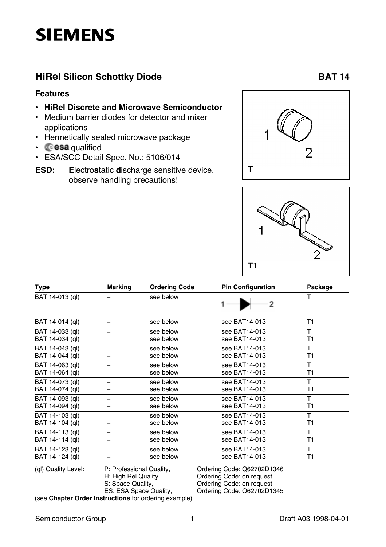# **SIEMENS**

### **HiRel Silicon Schottky Diode BAT 14**

#### **Features**

- **• HiRel Discrete and Microwave Semiconductor**
- Medium barrier diodes for detector and mixer applications
- Hermetically sealed microwave package
- $\cdot$  **cesa** qualified
- ESA/SCC Detail Spec. No.: 5106/014
- **ESD: E**lectro**s**tatic **d**ischarge sensitive device, observe handling precautions!





| <b>Type</b>     | <b>Marking</b>           | <b>Ordering Code</b> | <b>Pin Configuration</b> | Package |
|-----------------|--------------------------|----------------------|--------------------------|---------|
| BAT 14-013 (ql) |                          | see below            | 2                        | Т       |
| BAT 14-014 (ql) |                          | see below            | see BAT14-013            | T1      |
| BAT 14-033 (ql) | $\qquad \qquad$          | see below            | see BAT14-013            | T       |
| BAT 14-034 (ql) |                          | see below            | see BAT14-013            | T1      |
| BAT 14-043 (ql) | $\qquad \qquad$          | see below            | see BAT14-013            | T       |
| BAT 14-044 (ql) |                          | see below            | see BAT14-013            | T1      |
| BAT 14-063 (ql) | -                        | see below            | see BAT14-013            | T       |
| BAT 14-064 (ql) |                          | see below            | see BAT14-013            | T1      |
| BAT 14-073 (ql) |                          | see below            | see BAT14-013            | T       |
| BAT 14-074 (ql) |                          | see below            | see BAT14-013            | T1      |
| BAT 14-093 (ql) | $\overline{\phantom{0}}$ | see below            | see BAT14-013            | т       |
| BAT 14-094 (ql) |                          | see below            | see BAT14-013            | T1      |
| BAT 14-103 (ql) |                          | see below            | see BAT14-013            | T       |
| BAT 14-104 (ql) |                          | see below            | see BAT14-013            | T1      |
| BAT 14-113 (ql) |                          | see below            | see BAT14-013            | т       |
| BAT 14-114 (ql) |                          | see below            | see BAT14-013            | T1      |
| BAT 14-123 (ql) |                          | see below            | see BAT14-013            | T       |
| BAT 14-124 (ql) |                          | see below            | see BAT14-013            | T1      |

(ql) Quality Level: P: Professional Quality, Critic Code: Q62702D1346<br>H: High Rel Quality, Critic Code: on request H: High Rel Quality, Cordering Code: on request<br>S: Space Quality, Cordering Code: on request S: Space Quality, Creation Code: on request<br>
ES: ESA Space Quality, Creating Code: Q62702D1 Ordering Code: Q62702D1345

(see **Chapter Order Instructions** for ordering example)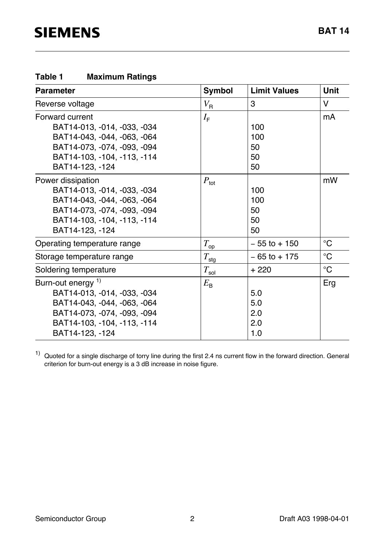### **Table 1 Maximum Ratings**

| <b>Parameter</b>                                                                                                                                                             | <b>Symbol</b>      | <b>Limit Values</b>             | <b>Unit</b>     |
|------------------------------------------------------------------------------------------------------------------------------------------------------------------------------|--------------------|---------------------------------|-----------------|
| Reverse voltage                                                                                                                                                              | $V_{\rm R}$        | 3                               | V               |
| <b>Forward current</b><br>BAT14-013, -014, -033, -034<br>BAT14-043, -044, -063, -064<br>BAT14-073, -074, -093, -094<br>BAT14-103, -104, -113, -114<br>BAT14-123, -124        | $I_{\rm F}$        | 100<br>100<br>50<br>50<br>50    | mA              |
| Power dissipation<br>BAT14-013, -014, -033, -034<br>BAT14-043, -044, -063, -064<br>BAT14-073, -074, -093, -094<br>BAT14-103, -104, -113, -114<br>BAT14-123, -124             | $P_{\text{tot}}$   | 100<br>100<br>50<br>50<br>50    | mW              |
| Operating temperature range                                                                                                                                                  | $T_{\rm op}$       | $-55$ to $+150$                 | $^{\circ}C$     |
| Storage temperature range                                                                                                                                                    | $T_{\text{sig}}$   | $-65$ to $+175$                 | $\rm ^{\circ}C$ |
| Soldering temperature                                                                                                                                                        | $T_{\mathsf{sol}}$ | $+220$                          | $\rm ^{\circ}C$ |
| Burn-out energy <sup>1)</sup><br>BAT14-013, -014, -033, -034<br>BAT14-043, -044, -063, -064<br>BAT14-073, -074, -093, -094<br>BAT14-103, -104, -113, -114<br>BAT14-123, -124 | $E_{\rm B}$        | 5.0<br>5.0<br>2.0<br>2.0<br>1.0 | Erg             |

 $1)$  Quoted for a single discharge of torry line during the first 2.4 ns current flow in the forward direction. General criterion for burn-out energy is a 3 dB increase in noise figure.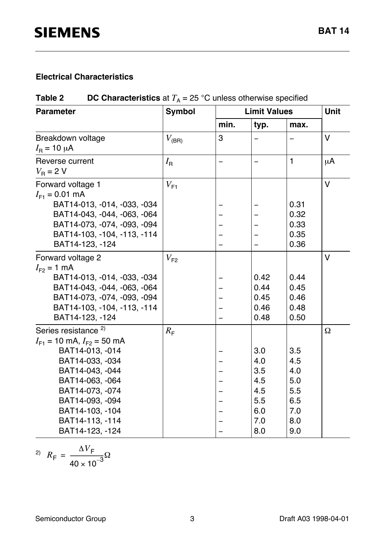#### **Electrical Characteristics**

### **Table 2** DC Characteristics at  $T_A = 25$  °C unless otherwise specified

| <b>Parameter</b>                                                      | <b>Symbol</b> | <b>Limit Values</b> |              |              | Unit     |
|-----------------------------------------------------------------------|---------------|---------------------|--------------|--------------|----------|
|                                                                       |               | min.                | typ.         | max.         |          |
| Breakdown voltage<br>$I_{\rm B}$ = 10 $\mu$ A                         | $V_{\rm(BR)}$ | 3                   |              |              | $\vee$   |
| Reverse current<br>$V_{\rm B} = 2$ V                                  | $I_{\rm R}$   |                     |              | $\mathbf{1}$ | $\mu$ A  |
| Forward voltage 1<br>$I_{F1} = 0.01$ mA                               | $V_{F1}$      |                     |              |              | $\vee$   |
| BAT14-013, -014, -033, -034<br>BAT14-043, -044, -063, -064            |               |                     |              | 0.31<br>0.32 |          |
| BAT14-073, -074, -093, -094                                           |               |                     |              | 0.33         |          |
| BAT14-103, -104, -113, -114<br>BAT14-123, -124                        |               |                     |              | 0.35<br>0.36 |          |
| Forward voltage 2<br>$I_{F2} = 1$ mA                                  | $V_{F2}$      |                     |              |              | V        |
| BAT14-013, -014, -033, -034                                           |               |                     | 0.42         | 0.44         |          |
| BAT14-043, -044, -063, -064                                           |               |                     | 0.44         | 0.45         |          |
| BAT14-073, -074, -093, -094                                           |               |                     | 0.45         | 0.46         |          |
| BAT14-103, -104, -113, -114<br>BAT14-123, -124                        |               |                     | 0.46<br>0.48 | 0.48<br>0.50 |          |
| Series resistance <sup>2)</sup><br>$I_{F1}$ = 10 mA, $I_{F2}$ = 50 mA | $R_{\rm F}$   |                     |              |              | $\Omega$ |
| BAT14-013, -014                                                       |               |                     | 3.0          | 3.5          |          |
| BAT14-033, -034                                                       |               |                     | 4.0          | 4.5          |          |
| BAT14-043, -044                                                       |               |                     | 3.5          | 4.0          |          |
| BAT14-063, -064                                                       |               |                     | 4.5          | 5.0          |          |
| BAT14-073, -074                                                       |               |                     | 4.5          | 5.5          |          |
| BAT14-093, -094                                                       |               |                     | 5.5          | 6.5          |          |
| BAT14-103, -104                                                       |               |                     | 6.0          | 7.0          |          |
| BAT14-113, -114                                                       |               |                     | 7.0          | 8.0          |          |
| BAT14-123, -124                                                       |               |                     | 8.0          | 9.0          |          |

$$
R_{\rm F} = \frac{\Delta V_{\rm F}}{40 \times 10^{-3}} \Omega
$$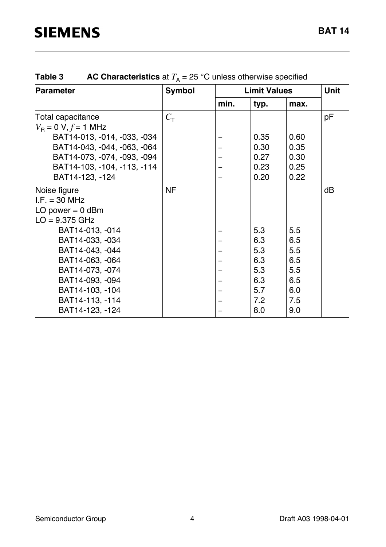| <b>Parameter</b>                             | <b>Symbol</b>    |      | <b>Limit Values</b> |      | <b>Unit</b> |
|----------------------------------------------|------------------|------|---------------------|------|-------------|
|                                              |                  | min. | typ.                | max. |             |
| Total capacitance                            | $C_{\texttt{T}}$ |      |                     |      | рF          |
| $V_{\rm B} = 0 \text{ V}, f = 1 \text{ MHz}$ |                  |      |                     |      |             |
| BAT14-013, -014, -033, -034                  |                  |      | 0.35                | 0.60 |             |
| BAT14-043, -044, -063, -064                  |                  |      | 0.30                | 0.35 |             |
| BAT14-073, -074, -093, -094                  |                  |      | 0.27                | 0.30 |             |
| BAT14-103, -104, -113, -114                  |                  |      | 0.23                | 0.25 |             |
| BAT14-123, -124                              |                  |      | 0.20                | 0.22 |             |
| Noise figure                                 | <b>NF</b>        |      |                     |      | dB          |
| $I.F. = 30 MHz$                              |                  |      |                     |      |             |
| LO power $= 0$ dBm                           |                  |      |                     |      |             |
| $LO = 9.375 \text{ GHz}$                     |                  |      |                     |      |             |
| BAT14-013, -014                              |                  |      | 5.3                 | 5.5  |             |
| BAT14-033, -034                              |                  |      | 6.3                 | 6.5  |             |
| BAT14-043, -044                              |                  |      | 5.3                 | 5.5  |             |
| BAT14-063, -064                              |                  |      | 6.3                 | 6.5  |             |
| BAT14-073, -074                              |                  |      | 5.3                 | 5.5  |             |
| BAT14-093, -094                              |                  |      | 6.3                 | 6.5  |             |
| BAT14-103, -104                              |                  |      | 5.7                 | 6.0  |             |
| BAT14-113, -114                              |                  |      | 7.2                 | 7.5  |             |
| BAT14-123, -124                              |                  |      | 8.0                 | 9.0  |             |

### **Table 3** AC Characteristics at  $T_A = 25$  °C unless otherwise specified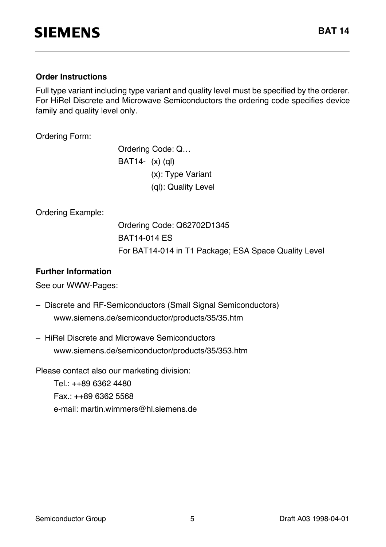#### **Order Instructions**

Full type variant including type variant and quality level must be specified by the orderer. For HiRel Discrete and Microwave Semiconductors the ordering code specifies device family and quality level only.

Ordering Form:

Ordering Code: Q… BAT14- (x) (ql) (x): Type Variant (ql): Quality Level

Ordering Example:

Ordering Code: Q62702D1345 BAT14-014 ES For BAT14-014 in T1 Package; ESA Space Quality Level

#### **Further Information**

See our WWW-Pages:

- Discrete and RF-Semiconductors (Small Signal Semiconductors) www.siemens.de/semiconductor/products/35/35.htm
- HiRel Discrete and Microwave Semiconductors www.siemens.de/semiconductor/products/35/353.htm

Please contact also our marketing division:

Tel.: ++89 6362 4480 Fax.: ++89 6362 5568 e-mail: martin.wimmers@hl.siemens.de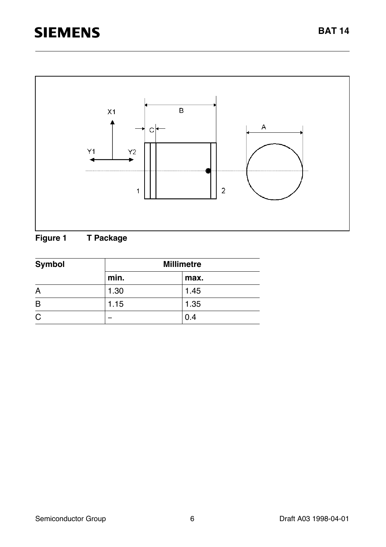# **SIEMENS**



### **Figure 1 T Package**

| <b>Symbol</b> | <b>Millimetre</b> |      |  |  |
|---------------|-------------------|------|--|--|
|               | min.              | max. |  |  |
| A             | 1.30              | 1.45 |  |  |
| B             | 1.15              | 1.35 |  |  |
| C             |                   | 0.4  |  |  |